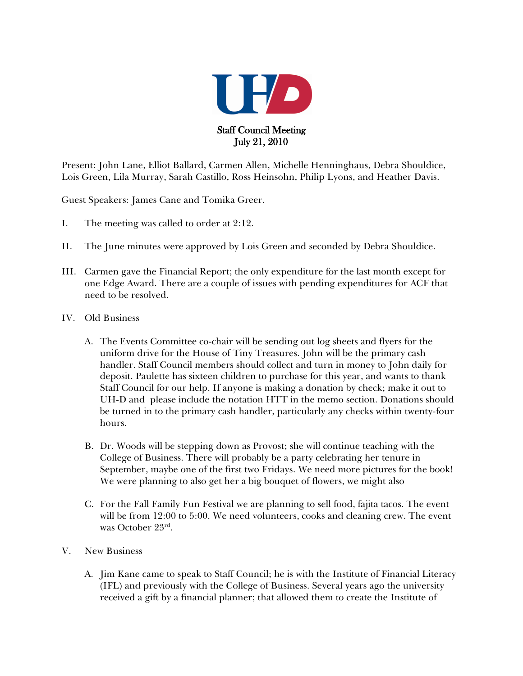

Present: John Lane, Elliot Ballard, Carmen Allen, Michelle Henninghaus, Debra Shouldice, Lois Green, Lila Murray, Sarah Castillo, Ross Heinsohn, Philip Lyons, and Heather Davis.

Guest Speakers: James Cane and Tomika Greer.

- I. The meeting was called to order at 2:12.
- II. The June minutes were approved by Lois Green and seconded by Debra Shouldice.
- III. Carmen gave the Financial Report; the only expenditure for the last month except for one Edge Award. There are a couple of issues with pending expenditures for ACF that need to be resolved.
- IV. Old Business
	- A. The Events Committee co-chair will be sending out log sheets and flyers for the uniform drive for the House of Tiny Treasures. John will be the primary cash handler. Staff Council members should collect and turn in money to John daily for deposit. Paulette has sixteen children to purchase for this year, and wants to thank Staff Council for our help. If anyone is making a donation by check; make it out to UH-D and please include the notation HTT in the memo section. Donations should be turned in to the primary cash handler, particularly any checks within twenty-four hours.
	- B. Dr. Woods will be stepping down as Provost; she will continue teaching with the College of Business. There will probably be a party celebrating her tenure in September, maybe one of the first two Fridays. We need more pictures for the book! We were planning to also get her a big bouquet of flowers, we might also
	- C. For the Fall Family Fun Festival we are planning to sell food, fajita tacos. The event will be from 12:00 to 5:00. We need volunteers, cooks and cleaning crew. The event was October 23rd .
- V. New Business
	- A. Jim Kane came to speak to Staff Council; he is with the Institute of Financial Literacy (IFL) and previously with the College of Business. Several years ago the university received a gift by a financial planner; that allowed them to create the Institute of